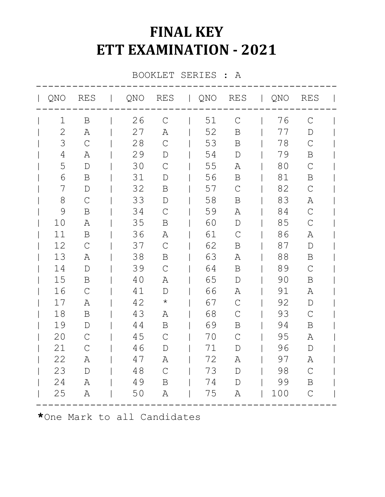## **FINAL KEY ETT EXAMINATION - 2021**

BOOKLET SERIES : A

|    | QNO RES       | QNO RES   QNO RES   QNO |               |    |               |     | RES           |  |
|----|---------------|-------------------------|---------------|----|---------------|-----|---------------|--|
| 1  | B             | 26                      | $\mathsf{C}$  | 51 | $\mathcal{C}$ | 76  | $\mathcal{C}$ |  |
| 2  | Α             | 27                      | Α             | 52 | $\mathbf B$   | 77  | $\mathbf D$   |  |
| 3  | $\mathsf C$   | 28                      | $\mathsf{C}$  | 53 | B             | 78  | $\mathcal{C}$ |  |
| 4  | $\mathbb{A}$  | 29                      | $\mathbb D$   | 54 | $\mathbf D$   | 79  | B             |  |
| 5  | $\mathbb D$   | 30                      | $\mathsf{C}$  | 55 | Α             | 80  | $\mathcal{C}$ |  |
| 6  | B             | 31                      | $\mathbb D$   | 56 | B             | 81  | $\mathbf B$   |  |
| 7  | $\mathbb{D}$  | 32                      | B             | 57 | $\mathsf{C}$  | 82  | $\mathsf{C}$  |  |
| 8  | $\mathcal{C}$ | 33                      | $\mathbb D$   | 58 | B             | 83  | Α             |  |
| 9  | $\, {\bf B}$  | 34                      | $\mathcal{C}$ | 59 | Α             | 84  | $\mathcal{C}$ |  |
| 10 | Α             | 35                      | Β             | 60 | $\mathbb D$   | 85  | $\mathcal{C}$ |  |
| 11 | B             | 36                      | Α             | 61 | $\mathcal{C}$ | 86  | Α             |  |
| 12 | $\mathsf C$   | 37                      | $\mathsf{C}$  | 62 | B             | 87  | $\mathbb D$   |  |
| 13 | Α             | 38                      | Β             | 63 | Α             | 88  | B             |  |
| 14 | $\mathbb D$   | 39                      | $\mathsf{C}$  | 64 | B             | 89  | $\mathcal{C}$ |  |
| 15 | B             | 40                      | Α             | 65 | $\mathbb D$   | 90  | B             |  |
| 16 | $\mathsf C$   | 41                      | D             | 66 | Α             | 91  | Α             |  |
| 17 | Α             | 42                      | $\star$       | 67 | $\mathsf{C}$  | 92  | $\mathbb D$   |  |
| 18 | $\, {\bf B}$  | 43                      | Α             | 68 | $\mathcal{C}$ | 93  | $\mathsf{C}$  |  |
| 19 | $\mathbb D$   | 44                      | B             | 69 | B             | 94  | B             |  |
| 20 | $\mathsf C$   | 45                      | $\mathsf{C}$  | 70 | $\mathcal{C}$ | 95  | Α             |  |
| 21 | $\mathcal{C}$ | 46                      | $\mathbb{D}$  | 71 | $\mathbb{D}$  | 96  | $\mathbb D$   |  |
| 22 | Α             | 47                      | Α             | 72 | Α             | 97  | Α             |  |
| 23 | $\mathbb D$   | 48                      | $\mathsf{C}$  | 73 | $\mathbb D$   | 98  | $\mathcal{C}$ |  |
| 24 | Α             | 49                      | $\mathbf B$   | 74 | $\mathbf{D}$  | 99  | B             |  |
| 25 | Α             | 50                      | Α             | 75 | Α             | 100 | $\mathsf C$   |  |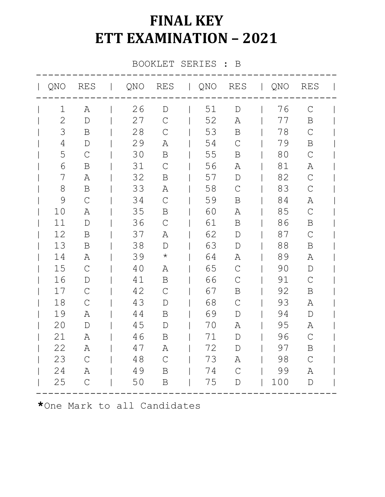## **FINAL KEY ETT EXAMINATION – 2021**

BOOKLET SERIES : B

| QNO           | RES            | QNO |               |    |               | RES   QNO RES   QNO | <b>RES</b>    |  |
|---------------|----------------|-----|---------------|----|---------------|---------------------|---------------|--|
| 1             | A              | 26  | $\mathbf{D}$  | 51 | $\mathbb{D}$  | 76                  | $\mathcal{C}$ |  |
| $\mathbf{2}$  | $\mathbf D$    | 27  | $\mathcal{C}$ | 52 | A             | 77                  | $\mathbf B$   |  |
| 3             | B              | 28  | $\mathcal{C}$ | 53 | B             | 78                  | $\mathsf{C}$  |  |
| 4             | $\mathbf D$    | 29  | Α             | 54 | $\mathcal{C}$ | 79                  | B             |  |
| 5             | $\mathcal{C}$  | 30  | $\, {\bf B}$  | 55 | B             | 80                  | $\mathsf{C}$  |  |
| 6             | B              | 31  | $\mathcal{C}$ | 56 | Α             | 81                  | Α             |  |
| 7             | Α              | 32  | B             | 57 | $\mathbf D$   | 82                  | $\mathcal{C}$ |  |
| 8             | B              | 33  | Α             | 58 | $\mathcal{C}$ | 83                  | $\mathcal{C}$ |  |
| $\mathcal{G}$ | $\mathcal{C}$  | 34  | $\mathsf{C}$  | 59 | B             | 84                  | Α             |  |
| 10            | $\mathbb{A}$   | 35  | B             | 60 | Α             | 85                  | $\mathcal{C}$ |  |
| 11            | $\mathbb{D}$   | 36  | $\mathsf{C}$  | 61 | B             | 86                  | B             |  |
| 12            | B              | 37  | Α             | 62 | $\mathbb D$   | 87                  | $\mathcal{C}$ |  |
| 13            | $\mathbf B$    | 38  | $\mathbb D$   | 63 | $\mathbb{D}$  | 88                  | B             |  |
| 14            | Α              | 39  | $\star$       | 64 | Α             | 89                  | Α             |  |
| 15            | $\mathcal{C}$  | 40  | Α             | 65 | $\mathcal{C}$ | 90                  | $\mathbb D$   |  |
| 16            | D              | 41  | B             | 66 | $\mathcal{C}$ | 91                  | $\mathcal{C}$ |  |
| 17            | $\mathcal{C}$  | 42  | $\mathsf{C}$  | 67 | B             | 92                  | B             |  |
| 18            | $\mathcal{C}$  | 43  | $\mathbb D$   | 68 | $\mathcal{C}$ | 93                  | Α             |  |
| 19            | Α              | 44  | B             | 69 | $\mathbb{D}$  | 94                  | $\mathbb{D}$  |  |
| 20            | $\mathbf D$    | 45  | $\mathbb D$   | 70 | Α             | 95                  | Α             |  |
| 21            | Α              | 46  | B             | 71 | $\mathbb D$   | 96                  | $\mathsf{C}$  |  |
| 22            | Α              | 47  | Α             | 72 | $\mathbb D$   | 97                  | B             |  |
| 23            | $\overline{C}$ | 48  | $\mathcal{C}$ | 73 | Α             | 98                  | $\mathcal{C}$ |  |
| 24            | Α              | 49  | B             | 74 | $\mathcal{C}$ | 99                  | Α             |  |
| 25            | $\mathsf{C}$   | 50  | $\, {\bf B}$  | 75 | $\mathbb D$   | 100                 | $\mathbb D$   |  |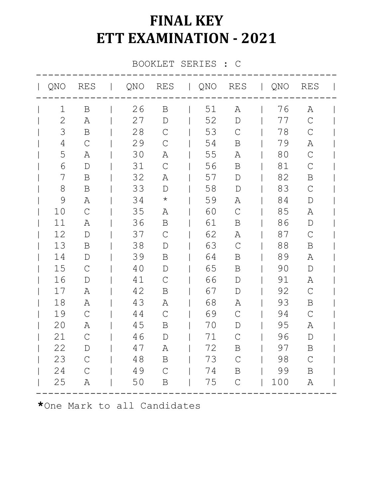## **FINAL KEY ETT EXAMINATION - 2021**

BOOKLET SERIES : C

| QNO            | RES            | QNO |               | RES   QNO RES   QNO |               |     | <b>RES</b>    |  |
|----------------|----------------|-----|---------------|---------------------|---------------|-----|---------------|--|
| 1              | $\mathbf B$    | 26  | $\mathbf B$   | 51                  | Α             | 76  | Α             |  |
| $\mathbf{2}$   | Α              | 27  | $\mathbf D$   | 52                  | $\mathbb D$   | 77  | $\mathcal{C}$ |  |
| 3              | B              | 28  | $\mathsf{C}$  | 53                  | $\mathcal{C}$ | 78  | $\mathsf C$   |  |
| $\overline{4}$ | $\mathcal{C}$  | 29  | $\mathcal{C}$ | 54                  | B             | 79  | Α             |  |
| 5              | Α              | 30  | Α             | 55                  | Α             | 80  | $\mathcal{C}$ |  |
| 6              | $\mathbb D$    | 31  | $\mathsf{C}$  | 56                  | B             | 81  | $\mathsf{C}$  |  |
| 7              | $\, {\bf B}$   | 32  | Α             | 57                  | $\mathbb D$   | 82  | B             |  |
| 8              | B              | 33  | $\mathbb D$   | 58                  | $\mathbb D$   | 83  | $\mathcal{C}$ |  |
| $\mathcal{G}$  | Α              | 34  | $\star$       | 59                  | Α             | 84  | $\mathbb D$   |  |
| 10             | $\mathcal{C}$  | 35  | Α             | 60                  | $\mathcal{C}$ | 85  | Α             |  |
| 11             | Α              | 36  | B             | 61                  | B             | 86  | $\mathbb D$   |  |
| 12             | $\mathbf D$    | 37  | $\mathcal{C}$ | 62                  | Α             | 87  | $\mathcal{C}$ |  |
| 13             | $\mathbf B$    | 38  | $\mathbb D$   | 63                  | $\mathcal{C}$ | 88  | B             |  |
| 14             | D              | 39  | B             | 64                  | B             | 89  | Α             |  |
| 15             | $\mathcal{C}$  | 40  | D             | 65                  | B             | 90  | $\mathbb D$   |  |
| 16             | $\mathbf D$    | 41  | $\mathcal{C}$ | 66                  | $\mathbb D$   | 91  | Α             |  |
| 17             | Α              | 42  | B             | 67                  | $\mathbb{D}$  | 92  | $\mathcal{C}$ |  |
| 18             | Α              | 43  | Α             | 68                  | Α             | 93  | B             |  |
| 19             | $\mathcal{C}$  | 44  | $\mathcal{C}$ | 69                  | $\mathcal{C}$ | 94  | $\mathcal{C}$ |  |
| 20             | Α              | 45  | Β             | 70                  | D             | 95  | Α             |  |
| 21             | $\mathcal{C}$  | 46  | $\mathbb D$   | 71                  | $\mathsf{C}$  | 96  | $\mathbb D$   |  |
| 22             | D              | 47  | Α             | 72                  | B             | 97  | B             |  |
| 23             | $\overline{C}$ | 48  | $\mathbf B$   | 73                  | $\mathcal{C}$ | 98  | $\mathcal{C}$ |  |
| 24             | $\overline{C}$ | 49  | $\mathcal{C}$ | 74                  | B             | 99  | B             |  |
| 25             | $\mathbb{A}$   | 50  | $\, {\bf B}$  | 75                  | $\mathcal{C}$ | 100 | Α             |  |